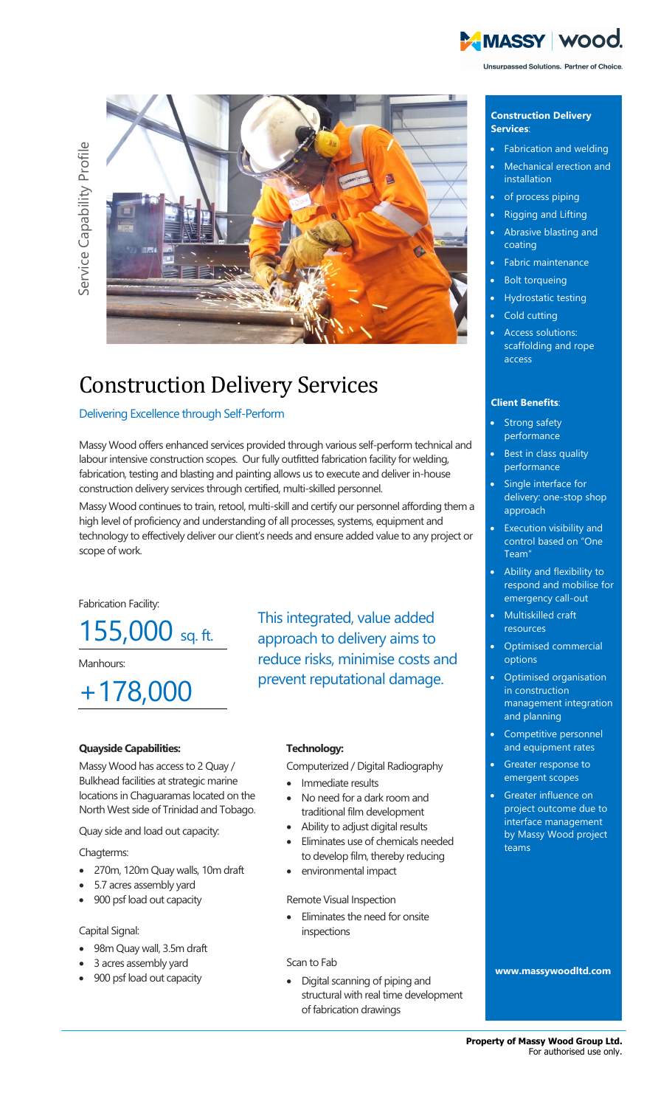

Unsurpassed Solutions. Partner of Choice



## Construction Delivery Services

#### Delivering Excellence through Self-Perform

Massy Wood offers enhanced services provided through various self-perform technical and labour intensive construction scopes. Our fully outfitted fabrication facility for welding, fabrication, testing and blasting and painting allows us to execute and deliver in-house construction delivery services through certified, multi-skilled personnel.

Massy Wood continues to train, retool, multi-skill and certify our personnel affording them a high level of proficiency and understanding of all processes, systems, equipment and technology to effectively deliver our client's needs and ensure added value to any project or scope of work.

Fabrication Facility:

# 155,000 sq. ft.

Manhours:

#### **Quayside Capabilities:**

Massy Wood has access to 2 Quay / Bulkhead facilities at strategic marine locations in Chaguaramas located on the North West side of Trinidad and Tobago.

Quay side and load out capacity:

Chagterms:

- 270m, 120m Quay walls, 10m draft
- 5.7 acres assembly yard
- 900 psf load out capacity

#### Capital Signal:

- 98m Quay wall, 3.5m draft
- 3 acres assembly yard
- 900 psf load out capacity

This integrated, value added approach to delivery aims to reduce risks, minimise costs and prevent reputational damage.

#### **Technology:**

Computerized / Digital Radiography

- Immediate results
- No need for a dark room and traditional film development
- Ability to adjust digital results
- Eliminates use of chemicals needed to develop film, thereby reducing
- environmental impact

Remote Visual Inspection

 Eliminates the need for onsite inspections

Scan to Fab

 Digital scanning of piping and structural with real time development of fabrication drawings

#### **Construction Delivery Services**:

- Fabrication and welding
- Mechanical erection and installation
- of process piping
- Rigging and Lifting
- Abrasive blasting and coating
- Fabric maintenance
- Bolt torqueing
- Hydrostatic testing
- Cold cutting
- Access solutions: scaffolding and rope access

#### **Client Benefits**:

- Strong safety performance
- Best in class quality performance
- Single interface for delivery: one-stop shop approach
- Execution visibility and control based on "One Team"
- Ability and flexibility to respond and mobilise for emergency call-out
- Multiskilled craft resources
- Optimised commercial options
- Optimised organisation in construction management integration and planning
- Competitive personnel and equipment rates
- Greater response to emergent scopes
- Greater influence on project outcome due to interface management by Massy Wood project teams

**www.massywoodltd.com**